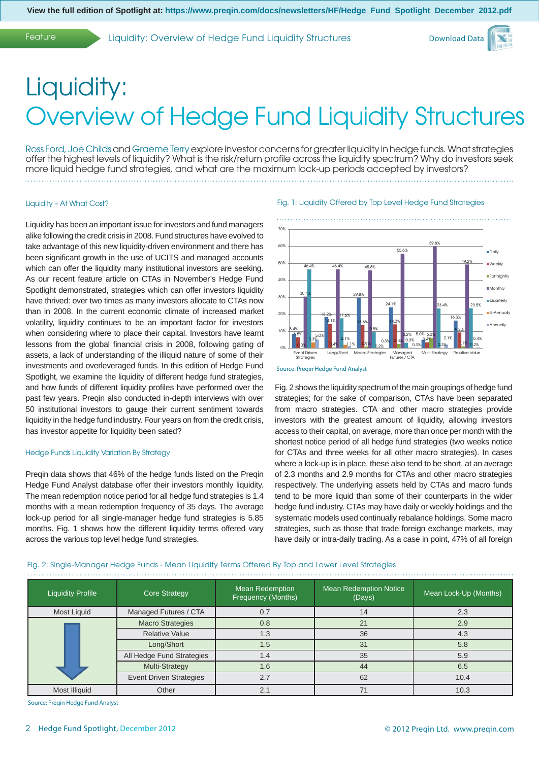Feature Liquidity: Overview of Hedge Fund Liquidity Structures



# Liquidity: Overview of Hedge Fund Liquidity Structures

Ross Ford, Joe Childs and Graeme Terry explore investor concerns for greater liquidity in hedge funds. What strategies offer the highest levels of liquidity? What is the risk/return profile across the liquidity spectrum? Why do investors seek more liquid hedge fund strategies, and what are the maximum lock-up periods accepted by investors?

#### Liquidity – At What Cost?

Liquidity has been an important issue for investors and fund managers alike following the credit crisis in 2008. Fund structures have evolved to take advantage of this new liquidity-driven environment and there has been significant growth in the use of UCITS and managed accounts which can offer the liquidity many institutional investors are seeking. As our recent feature article on CTAs in November's Hedge Fund Spotlight demonstrated, strategies which can offer investors liquidity have thrived: over two times as many investors allocate to CTAs now than in 2008. In the current economic climate of increased market volatility, liquidity continues to be an important factor for investors when considering where to place their capital. Investors have learnt lessons from the global financial crisis in 2008, following gating of assets, a lack of understanding of the illiquid nature of some of their investments and overleveraged funds. In this edition of Hedge Fund Spotlight, we examine the liquidity of different hedge fund strategies, and how funds of different liquidity profiles have performed over the past few years. Preqin also conducted in-depth interviews with over 50 institutional investors to gauge their current sentiment towards liquidity in the hedge fund industry. Four years on from the credit crisis, has investor appetite for liquidity been sated?

#### Hedge Funds Liquidity Variation By Strategy

Preqin data shows that 46% of the hedge funds listed on the Preqin Hedge Fund Analyst database offer their investors monthly liquidity. The mean redemption notice period for all hedge fund strategies is 1.4 months with a mean redemption frequency of 35 days. The average lock-up period for all single-manager hedge fund strategies is 5.85 months. Fig. 1 shows how the different liquidity terms offered vary across the various top level hedge fund strategies.

#### Fig. 1: Liquidity Offered by Top Level Hedge Fund Strategies



Source: Preqin Hedge Fund Analyst

Fig. 2 shows the liquidity spectrum of the main groupings of hedge fund strategies; for the sake of comparison, CTAs have been separated from macro strategies. CTA and other macro strategies provide investors with the greatest amount of liquidity, allowing investors access to their capital, on average, more than once per month with the shortest notice period of all hedge fund strategies (two weeks notice for CTAs and three weeks for all other macro strategies). In cases where a lock-up is in place, these also tend to be short, at an average of 2.3 months and 2.9 months for CTAs and other macro strategies respectively. The underlying assets held by CTAs and macro funds tend to be more liquid than some of their counterparts in the wider hedge fund industry. CTAs may have daily or weekly holdings and the systematic models used continually rebalance holdings. Some macro strategies, such as those that trade foreign exchange markets, may have daily or intra-daily trading. As a case in point, 47% of all foreign

|  | Fig. 2: Single-Manager Hedge Funds - Mean Liquidity Terms Offered By Top and Lower Level Strategies |  |  |  |  |
|--|-----------------------------------------------------------------------------------------------------|--|--|--|--|
|  |                                                                                                     |  |  |  |  |

| <b>Liquidity Profile</b> | <b>Core Strategy</b>           | <b>Mean Redemption</b><br>Frequency (Months) | <b>Mean Redemption Notice</b><br>(Days) | Mean Lock-Up (Months) |
|--------------------------|--------------------------------|----------------------------------------------|-----------------------------------------|-----------------------|
| Most Liquid              | Managed Futures / CTA          | 0.7                                          | 14                                      | 2.3                   |
|                          | <b>Macro Strategies</b>        | 0.8                                          | 21                                      | 2.9                   |
|                          | <b>Relative Value</b>          | 1.3                                          | 36                                      | 4.3                   |
|                          | Long/Short                     | 1.5                                          | 31                                      | 5.8                   |
|                          | All Hedge Fund Strategies      | 1.4                                          | 35                                      | 5.9                   |
|                          | Multi-Strategy                 | 1.6                                          | 44                                      | 6.5                   |
|                          | <b>Event Driven Strategies</b> | 2.7                                          | 62                                      | 10.4                  |
| Most Illiquid            | Other                          | 2.7                                          |                                         | 10.3                  |

Source: Preqin Hedge Fund Analyst